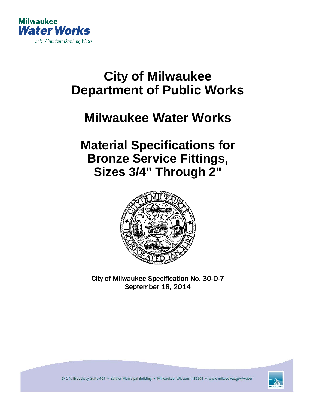

# **City of Milwaukee Department of Public Works**

## **Milwaukee Water Works**

### **Material Specifications for Bronze Service Fittings, Sizes 3/4" Through 2"**



City of Milwaukee Specification No. 30-D-7 September 18, 2014



841 N. Broadway, Suite 409 · Zeidler Municipal Building · Milwaukee, Wisconsin 53202 · www.milwaukee.gov/water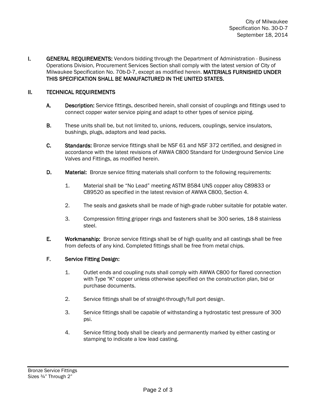**I.** GENERAL REQUIREMENTS: Vendors bidding through the Department of Administration - Business Operations Division, Procurement Services Section shall comply with the latest version of City of Milwaukee Specification No. 70b-D-7, except as modified herein. MATERIALS FURNISHED UNDER THIS SPECIFICATION SHALL BE MANUFACTURED IN THE UNITED STATES.

#### II. TECHNICAL REQUIREMENTS

- A. Description: Service fittings, described herein, shall consist of couplings and fittings used to connect copper water service piping and adapt to other types of service piping.
- B. These units shall be, but not limited to, unions, reducers, couplings, service insulators, bushings, plugs, adaptors and lead packs.
- C. Standards: Bronze service fittings shall be NSF 61 and NSF 372 certified, and designed in accordance with the latest revisions of AWWA C800 Standard for Underground Service Line Valves and Fittings, as modified herein.
- D. Material: Bronze service fitting materials shall conform to the following requirements:
	- 1. Material shall be "No Lead" meeting ASTM B584 UNS copper alloy C89833 or C89520 as specified in the latest revision of AWWA C800, Section 4.
	- 2. The seals and gaskets shall be made of high-grade rubber suitable for potable water.
	- 3. Compression fitting gripper rings and fasteners shall be 300 series, 18-8 stainless steel.
- E. Workmanship: Bronze service fittings shall be of high quality and all castings shall be free from defects of any kind. Completed fittings shall be free from metal chips.

#### F. Service Fitting Design:

- 1. Outlet ends and coupling nuts shall comply with AWWA C800 for flared connection with Type "K" copper unless otherwise specified on the construction plan, bid or purchase documents.
- 2. Service fittings shall be of straight-through/full port design.
- 3. Service fittings shall be capable of withstanding a hydrostatic test pressure of 300 psi.
- 4. Service fitting body shall be clearly and permanently marked by either casting or stamping to indicate a low lead casting.